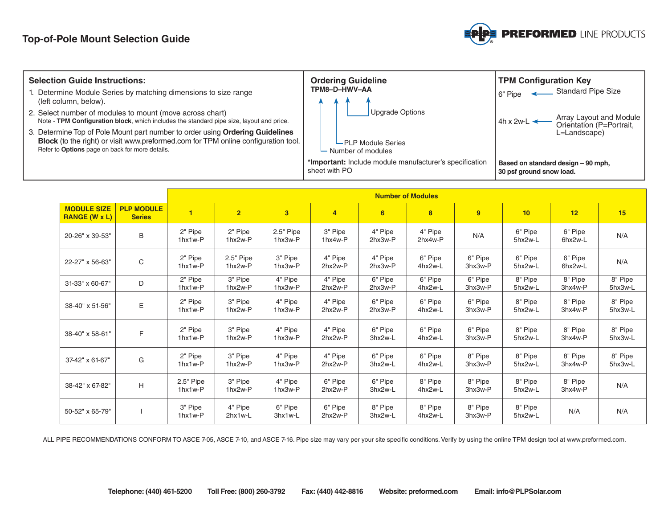

| <b>Selection Guide Instructions:</b><br>1. Determine Module Series by matching dimensions to size range<br>(left column, below).<br>2. Select number of modules to mount (move across chart)<br>Note - TPM Configuration block, which includes the standard pipe size, layout and price.<br>3. Determine Top of Pole Mount part number to order using Ordering Guidelines<br>Block (to the right) or visit www.preformed.com for TPM online configuration tool.<br>Refer to Options page on back for more details. | <b>Ordering Guideline</b><br>TPM8-D-HWV-AA<br>Upgrade Options<br>$L$ PLP Module Series<br>$\vdash$ Number of modules | <b>TPM Configuration Key</b><br>Standard Pipe Size<br>6" Pipe<br>Array Layout and Module<br>Orientation (P=Portrait,<br>$4h \times 2w-L$<br>L=Landscape) |  |  |  |  |
|--------------------------------------------------------------------------------------------------------------------------------------------------------------------------------------------------------------------------------------------------------------------------------------------------------------------------------------------------------------------------------------------------------------------------------------------------------------------------------------------------------------------|----------------------------------------------------------------------------------------------------------------------|----------------------------------------------------------------------------------------------------------------------------------------------------------|--|--|--|--|
|                                                                                                                                                                                                                                                                                                                                                                                                                                                                                                                    | *Important: Include module manufacturer's specification<br>sheet with PO                                             | Based on standard design - 90 mph,<br>30 psf ground snow load.                                                                                           |  |  |  |  |
| <b>Number of Modules</b>                                                                                                                                                                                                                                                                                                                                                                                                                                                                                           |                                                                                                                      |                                                                                                                                                          |  |  |  |  |

|                                            |                                    | <b>Number of Modules</b> |                          |                      |                    |                    |                    |                    |                    |                    |                    |
|--------------------------------------------|------------------------------------|--------------------------|--------------------------|----------------------|--------------------|--------------------|--------------------|--------------------|--------------------|--------------------|--------------------|
| <b>MODULE SIZE</b><br><b>RANGE (W x L)</b> | <b>PLP MODULE</b><br><b>Series</b> | $\overline{\mathbf{1}}$  | $\overline{2}$           | $\overline{3}$       | $\overline{4}$     | 6                  | 8                  | 9 <sup>°</sup>     | 10 <sup>°</sup>    | 12                 | 15                 |
| 20-26" x 39-53"                            | B                                  | 2" Pipe<br>1hx1w-P       | 2" Pipe<br>1hx2w-P       | 2.5" Pipe<br>1hx3w-P | 3" Pipe<br>1hx4w-P | 4" Pipe<br>2hx3w-P | 4" Pipe<br>2hx4w-P | N/A                | 6" Pipe<br>5hx2w-L | 6" Pipe<br>6hx2w-L | N/A                |
| 22-27" x 56-63"                            | C                                  | 2" Pipe<br>1hx1w-P       | 2.5" Pipe<br>1hx2w-P     | 3" Pipe<br>1hx3w-P   | 4" Pipe<br>2hx2w-P | 4" Pipe<br>2hx3w-P | 6" Pipe<br>4hx2w-L | 6" Pipe<br>3hx3w-P | 6" Pipe<br>5hx2w-L | 6" Pipe<br>6hx2w-L | N/A                |
| 31-33" x 60-67"                            | D                                  | 2" Pipe<br>1hx1w-P       | 3" Pipe<br>1hx2w-P       | 4" Pipe<br>1hx3w-P   | 4" Pipe<br>2hx2w-P | 6" Pipe<br>2hx3w-P | 6" Pipe<br>4hx2w-L | 6" Pipe<br>3hx3w-P | 8" Pipe<br>5hx2w-L | 8" Pipe<br>3hx4w-P | 8" Pipe<br>5hx3w-L |
| 38-40" x 51-56"                            | E                                  | 2" Pipe<br>1hx1w-P       | 3" Pipe<br>1hx2w-P       | 4" Pipe<br>1hx3w-P   | 4" Pipe<br>2hx2w-P | 6" Pipe<br>2hx3w-P | 6" Pipe<br>4hx2w-L | 6" Pipe<br>3hx3w-P | 8" Pipe<br>5hx2w-L | 8" Pipe<br>3hx4w-P | 8" Pipe<br>5hx3w-L |
| 38-40" x 58-61"                            | F                                  | 2" Pipe<br>1hx1w-P       | 3" Pipe<br>1hx2w-P       | 4" Pipe<br>1hx3w-P   | 4" Pipe<br>2hx2w-P | 6" Pipe<br>3hx2w-L | 6" Pipe<br>4hx2w-L | 6" Pipe<br>3hx3w-P | 8" Pipe<br>5hx2w-L | 8" Pipe<br>3hx4w-P | 8" Pipe<br>5hx3w-L |
| 37-42" x 61-67"                            | G                                  | 2" Pipe<br>1hx1w-P       | 3" Pipe<br>1hx2w-P       | 4" Pipe<br>1hx3w-P   | 4" Pipe<br>2hx2w-P | 6" Pipe<br>3hx2w-L | 6" Pipe<br>4hx2w-L | 8" Pipe<br>3hx3w-P | 8" Pipe<br>5hx2w-L | 8" Pipe<br>3hx4w-P | 8" Pipe<br>5hx3w-L |
| 38-42" x 67-82"                            | H                                  | $2.5"$ Pipe<br>1hx1w-P   | 3" Pipe<br>1hx2w-P       | 4" Pipe<br>1hx3w-P   | 6" Pipe<br>2hx2w-P | 6" Pipe<br>3hx2w-L | 8" Pipe<br>4hx2w-L | 8" Pipe<br>3hx3w-P | 8" Pipe<br>5hx2w-L | 8" Pipe<br>3hx4w-P | N/A                |
| 50-52" x 65-79"                            |                                    | 3" Pipe<br>1hx1w-P       | 4" Pipe<br>$2$ hx $1w-L$ | 6" Pipe<br>3hx1w-L   | 6" Pipe<br>2hx2w-P | 8" Pipe<br>3hx2w-L | 8" Pipe<br>4hx2w-L | 8" Pipe<br>3hx3w-P | 8" Pipe<br>5hx2w-L | N/A                | N/A                |

ALL PIPE RECOMMENDATIONS CONFORM TO ASCE 7-05, ASCE 7-10, and ASCE 7-16. Pipe size may vary per your site specific conditions. Verify by using the online TPM design tool at www.preformed.com.